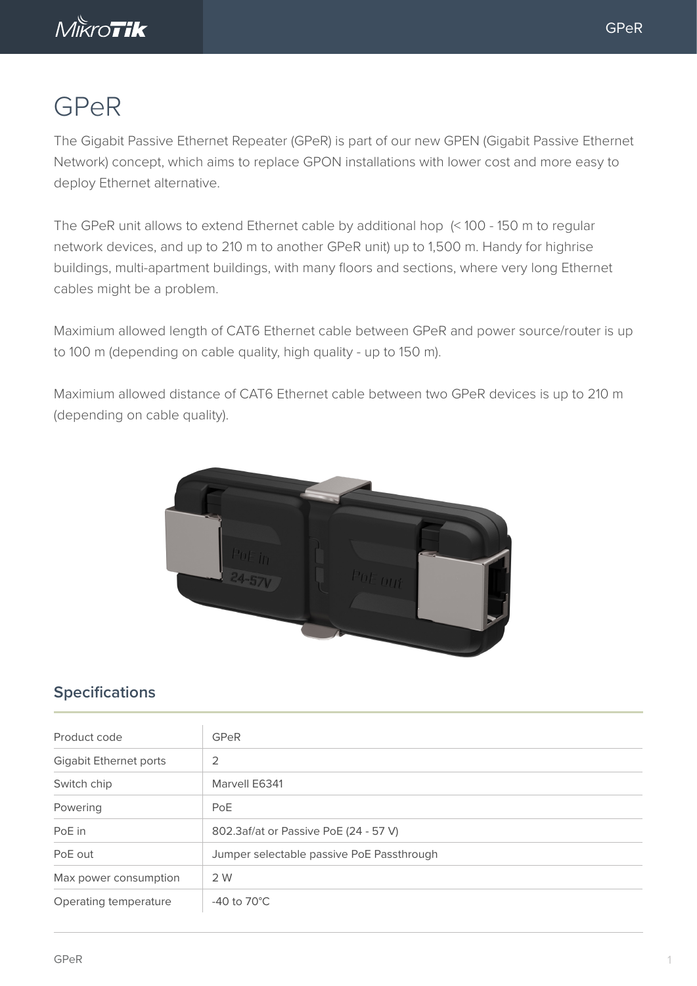

## GPeR

The Gigabit Passive Ethernet Repeater (GPeR) is part of our new GPEN (Gigabit Passive Ethernet Network) concept, which aims to replace GPON installations with lower cost and more easy to deploy Ethernet alternative.

The GPeR unit allows to extend Ethernet cable by additional hop (< 100 - 150 m to regular network devices, and up to 210 m to another GPeR unit) up to 1,500 m. Handy for highrise buildings, multi-apartment buildings, with many floors and sections, where very long Ethernet cables might be a problem.

Maximium allowed length of CAT6 Ethernet cable between GPeR and power source/router is up to 100 m (depending on cable quality, high quality - up to 150 m).

Maximium allowed distance of CAT6 Ethernet cable between two GPeR devices is up to 210 m (depending on cable quality).



## **Specifications**

| Product code                  | <b>GPeR</b>                               |
|-------------------------------|-------------------------------------------|
| <b>Gigabit Ethernet ports</b> | 2                                         |
| Switch chip                   | Marvell E6341                             |
| Powering                      | PoE                                       |
| PoE in                        | 802.3af/at or Passive PoE (24 - 57 V)     |
| PoE out                       | Jumper selectable passive PoE Passthrough |
| Max power consumption         | 2 W                                       |
| Operating temperature         | -40 to $70^{\circ}$ C                     |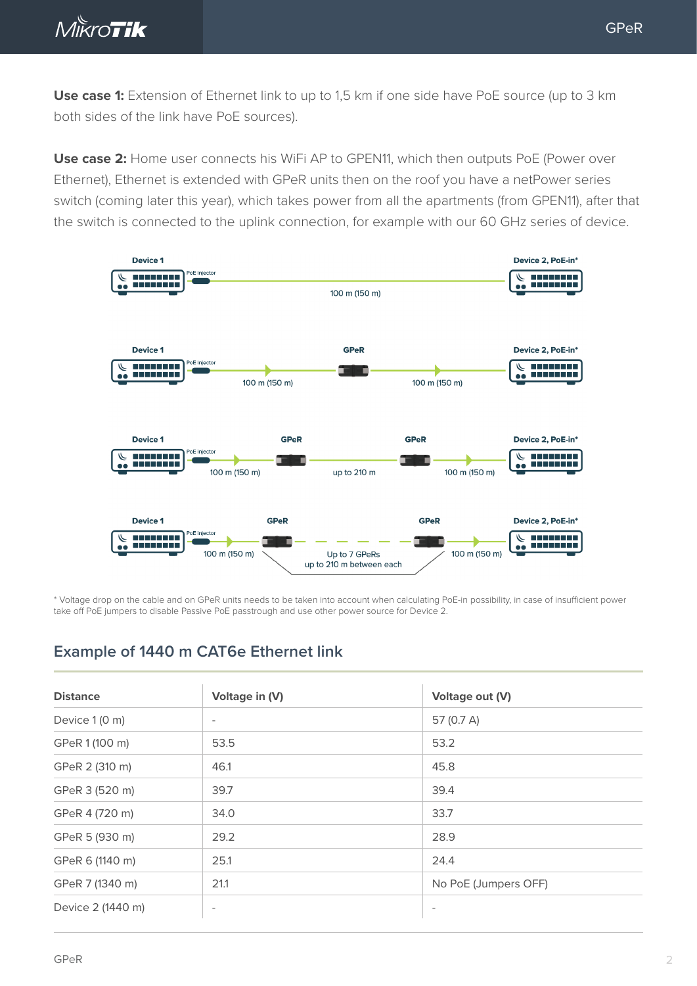

**Use case 1:** Extension of Ethernet link to up to 1,5 km if one side have PoE source (up to 3 km both sides of the link have PoE sources).

**Use case 2:** Home user connects his WiFi AP to GPEN11, which then outputs PoE (Power over Ethernet), Ethernet is extended with GPeR units then on the roof you have a netPower series switch (coming later this year), which takes power from all the apartments (from GPEN11), after that the switch is connected to the uplink connection, for example with our 60 GHz series of device.



\* Voltage drop on the cable and on GPeR units needs to be taken into account when calculating PoE-in possibility, in case of insufficient power take off PoE jumpers to disable Passive PoE passtrough and use other power source for Device 2.

## **Example of 1440 m CAT6e Ethernet link**

| <b>Distance</b>   | Voltage in (V)           | Voltage out (V)          |
|-------------------|--------------------------|--------------------------|
| Device 1 (0 m)    | $\overline{\phantom{a}}$ | 57 (0.7 A)               |
| GPeR 1 (100 m)    | 53.5                     | 53.2                     |
| GPeR 2 (310 m)    | 46.1                     | 45.8                     |
| GPeR 3 (520 m)    | 39.7                     | 39.4                     |
| GPeR 4 (720 m)    | 34.0                     | 33.7                     |
| GPeR 5 (930 m)    | 29.2                     | 28.9                     |
| GPeR 6 (1140 m)   | 25.1                     | 24.4                     |
| GPeR 7 (1340 m)   | 21.1                     | No PoE (Jumpers OFF)     |
| Device 2 (1440 m) | $\overline{\phantom{a}}$ | $\overline{\phantom{a}}$ |